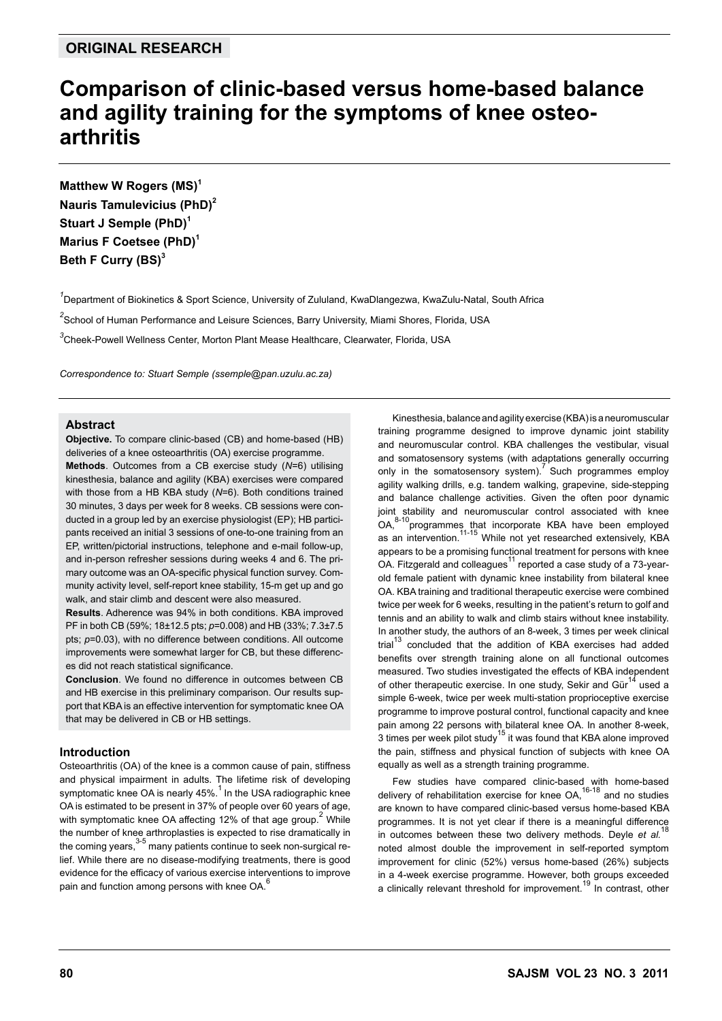# **Comparison of clinic-based versus home-based balance and agility training for the symptoms of knee osteoarthritis**

**Matthew W Rogers (MS)<sup>1</sup> Nauris Tamulevicius (PhD)<sup>2</sup>** Stuart J Semple (PhD)<sup>1</sup> **Marius F Coetsee (PhD)<sup>1</sup> Beth F Curry (BS)<sup>3</sup>**

*1* Department of Biokinetics & Sport Science, University of Zululand, KwaDlangezwa, KwaZulu-Natal, South Africa <sup>2</sup>School of Human Performance and Leisure Sciences, Barry University, Miami Shores, Florida, USA *3* Cheek-Powell Wellness Center, Morton Plant Mease Healthcare, Clearwater, Florida, USA

*Correspondence to: Stuart Semple (ssemple@pan.uzulu.ac.za)*

# **Abstract**

**Objective.** To compare clinic-based (CB) and home-based (HB) deliveries of a knee osteoarthritis (OA) exercise programme.

**Methods**. Outcomes from a CB exercise study (*N*=6) utilising kinesthesia, balance and agility (KBA) exercises were compared with those from a HB KBA study (*N*=6). Both conditions trained 30 minutes, 3 days per week for 8 weeks. CB sessions were conducted in a group led by an exercise physiologist (EP); HB participants received an initial 3 sessions of one-to-one training from an EP, written/pictorial instructions, telephone and e-mail follow-up, and in-person refresher sessions during weeks 4 and 6. The primary outcome was an OA-specific physical function survey. Community activity level, self-report knee stability, 15-m get up and go walk, and stair climb and descent were also measured.

**Results**. Adherence was 94% in both conditions. KBA improved PF in both CB (59%; 18±12.5 pts; *p*=0.008) and HB (33%; 7.3±7.5 pts; *p*=0.03), with no difference between conditions. All outcome improvements were somewhat larger for CB, but these differences did not reach statistical significance.

**Conclusion**. We found no difference in outcomes between CB and HB exercise in this preliminary comparison. Our results support that KBA is an effective intervention for symptomatic knee OA that may be delivered in CB or HB settings.

# **Introduction**

Osteoarthritis (OA) of the knee is a common cause of pain, stiffness and physical impairment in adults. The lifetime risk of developing symptomatic knee OA is nearly  $45\%$ <sup>1</sup> In the USA radiographic knee OA is estimated to be present in 37% of people over 60 years of age, with symptomatic knee OA affecting 12% of that age group.<sup>2</sup> While the number of knee arthroplasties is expected to rise dramatically in the coming years,  $3-5$  many patients continue to seek non-surgical relief. While there are no disease-modifying treatments, there is good evidence for the efficacy of various exercise interventions to improve pain and function among persons with knee OA.<sup>6</sup>

Kinesthesia, balance and agility exercise (KBA) is a neuromuscular training programme designed to improve dynamic joint stability and neuromuscular control. KBA challenges the vestibular, visual and somatosensory systems (with adaptations generally occurring only in the somatosensory system). Such programmes employ agility walking drills, e.g. tandem walking, grapevine, side-stepping and balance challenge activities. Given the often poor dynamic joint stability and neuromuscular control associated with knee OA,<sup>8-10</sup>programmes that incorporate KBA have been employed as an intervention.<sup>11-15</sup> While not yet researched extensively, KBA appears to be a promising functional treatment for persons with knee OA. Fitzgerald and colleagues<sup>11</sup> reported a case study of a 73-yearold female patient with dynamic knee instability from bilateral knee OA. KBA training and traditional therapeutic exercise were combined twice per week for 6 weeks, resulting in the patient's return to golf and tennis and an ability to walk and climb stairs without knee instability. In another study, the authors of an 8-week, 3 times per week clinical  $\text{trial}^{13}$  concluded that the addition of KBA exercises had added benefits over strength training alone on all functional outcomes measured. Two studies investigated the effects of KBA independent of other therapeutic exercise. In one study, Sekir and Gür<sup>14</sup> used a simple 6-week, twice per week multi-station proprioceptive exercise programme to improve postural control, functional capacity and knee pain among 22 persons with bilateral knee OA. In another 8-week,  $\overline{3}$  times per week pilot study<sup>15</sup> it was found that KBA alone improved the pain, stiffness and physical function of subjects with knee OA equally as well as a strength training programme.

Few studies have compared clinic-based with home-based delivery of rehabilitation exercise for knee OA,<sup>16-18</sup> and no studies are known to have compared clinic-based versus home-based KBA programmes. It is not yet clear if there is a meaningful difference in outcomes between these two delivery methods. Deyle *et al.*<sup>18</sup> noted almost double the improvement in self-reported symptom improvement for clinic (52%) versus home-based (26%) subjects in a 4-week exercise programme. However, both groups exceeded a clinically relevant threshold for improvement.<sup>19</sup> In contrast, other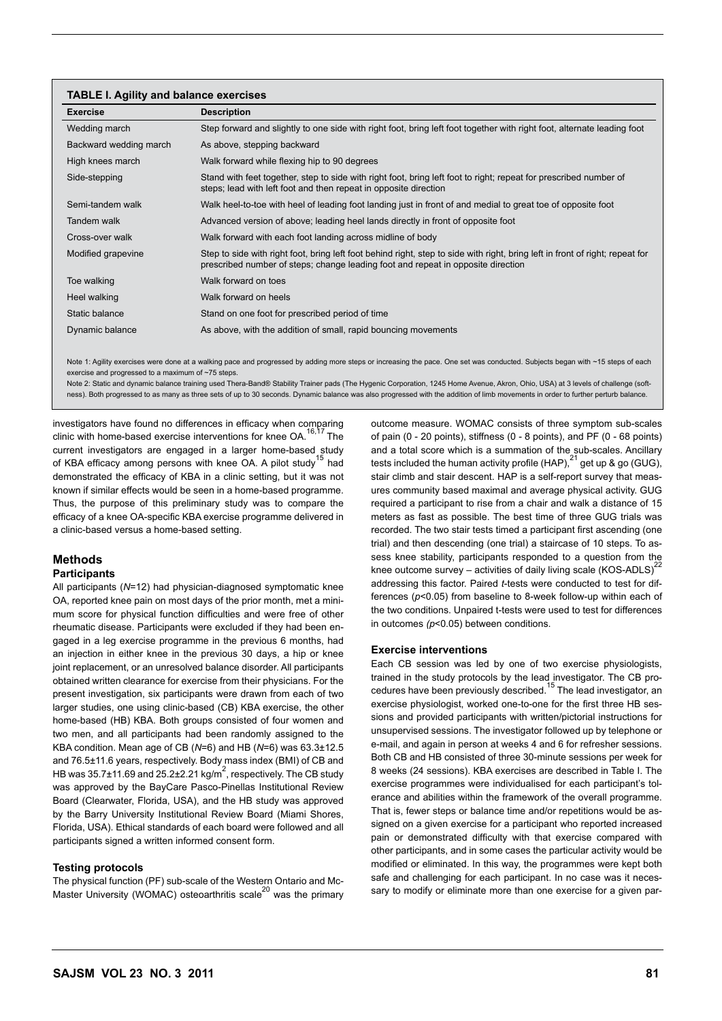#### **TABLE I. Agility and balance exercises**

| <b>Exercise</b>        | <b>Description</b>                                                                                                                                                                                                |
|------------------------|-------------------------------------------------------------------------------------------------------------------------------------------------------------------------------------------------------------------|
| Wedding march          | Step forward and slightly to one side with right foot, bring left foot together with right foot, alternate leading foot                                                                                           |
| Backward wedding march | As above, stepping backward                                                                                                                                                                                       |
| High knees march       | Walk forward while flexing hip to 90 degrees                                                                                                                                                                      |
| Side-stepping          | Stand with feet together, step to side with right foot, bring left foot to right; repeat for prescribed number of<br>steps; lead with left foot and then repeat in opposite direction                             |
| Semi-tandem walk       | Walk heel-to-toe with heel of leading foot landing just in front of and medial to great toe of opposite foot                                                                                                      |
| Tandem walk            | Advanced version of above; leading heel lands directly in front of opposite foot                                                                                                                                  |
| Cross-over walk        | Walk forward with each foot landing across midline of body                                                                                                                                                        |
| Modified grapevine     | Step to side with right foot, bring left foot behind right, step to side with right, bring left in front of right; repeat for<br>prescribed number of steps; change leading foot and repeat in opposite direction |
| Toe walking            | Walk forward on toes                                                                                                                                                                                              |
| Heel walking           | Walk forward on heels                                                                                                                                                                                             |
| Static balance         | Stand on one foot for prescribed period of time                                                                                                                                                                   |
| Dynamic balance        | As above, with the addition of small, rapid bouncing movements                                                                                                                                                    |

Note 1: Agility exercises were done at a walking pace and progressed by adding more steps or increasing the pace. One set was conducted. Subjects began with ~15 steps of each exercise and progressed to a maximum of ~75 steps.

Note 2: Static and dynamic balance training used Thera-Band® Stability Trainer pads (The Hygenic Corporation, 1245 Home Avenue, Akron, Ohio, USA) at 3 levels of challenge (softness). Both progressed to as many as three sets of up to 30 seconds. Dynamic balance was also progressed with the addition of limb movements in order to further perturb balance.

investigators have found no differences in efficacy when comparing clinic with home-based exercise interventions for knee OA.<sup>16,17</sup> The current investigators are engaged in a larger home-based study of KBA efficacy among persons with knee OA. A pilot study<sup>15</sup> had demonstrated the efficacy of KBA in a clinic setting, but it was not known if similar effects would be seen in a home-based programme. Thus, the purpose of this preliminary study was to compare the efficacy of a knee OA-specific KBA exercise programme delivered in a clinic-based versus a home-based setting.

# **Methods**

# **Participants**

All participants (*N*=12) had physician-diagnosed symptomatic knee OA, reported knee pain on most days of the prior month, met a minimum score for physical function difficulties and were free of other rheumatic disease. Participants were excluded if they had been engaged in a leg exercise programme in the previous 6 months, had an injection in either knee in the previous 30 days, a hip or knee joint replacement, or an unresolved balance disorder. All participants obtained written clearance for exercise from their physicians. For the present investigation, six participants were drawn from each of two larger studies, one using clinic-based (CB) KBA exercise, the other home-based (HB) KBA. Both groups consisted of four women and two men, and all participants had been randomly assigned to the KBA condition. Mean age of CB (*N*=6) and HB (*N*=6) was 63.3±12.5 and 76.5±11.6 years, respectively. Body mass index (BMI) of CB and HB was  $35.7\pm11.69$  and  $25.2\pm2.21$  kg/m<sup>2</sup>, respectively. The CB study was approved by the BayCare Pasco-Pinellas Institutional Review Board (Clearwater, Florida, USA), and the HB study was approved by the Barry University Institutional Review Board (Miami Shores, Florida, USA). Ethical standards of each board were followed and all participants signed a written informed consent form.

#### **Testing protocols**

The physical function (PF) sub-scale of the Western Ontario and Mc-Master University (WOMAC) osteoarthritis scale<sup>20</sup> was the primary outcome measure. WOMAC consists of three symptom sub-scales of pain (0 - 20 points), stiffness (0 - 8 points), and PF (0 - 68 points) and a total score which is a summation of the sub-scales. Ancillary tests included the human activity profile (HAP), $^{21}$  get up & go (GUG), stair climb and stair descent. HAP is a self-report survey that measures community based maximal and average physical activity. GUG required a participant to rise from a chair and walk a distance of 15 meters as fast as possible. The best time of three GUG trials was recorded. The two stair tests timed a participant first ascending (one trial) and then descending (one trial) a staircase of 10 steps. To assess knee stability, participants responded to a question from the knee outcome survey – activities of daily living scale  $(KOS-ADLS)^{22}$ addressing this factor. Paired *t*-tests were conducted to test for differences (*p*<0.05) from baseline to 8-week follow-up within each of the two conditions. Unpaired t-tests were used to test for differences in outcomes *(p*<0.05) between conditions.

#### **Exercise interventions**

Each CB session was led by one of two exercise physiologists, trained in the study protocols by the lead investigator. The CB procedures have been previously described.15 The lead investigator, an exercise physiologist, worked one-to-one for the first three HB sessions and provided participants with written/pictorial instructions for unsupervised sessions. The investigator followed up by telephone or e-mail, and again in person at weeks 4 and 6 for refresher sessions. Both CB and HB consisted of three 30-minute sessions per week for 8 weeks (24 sessions). KBA exercises are described in Table I. The exercise programmes were individualised for each participant's tolerance and abilities within the framework of the overall programme. That is, fewer steps or balance time and/or repetitions would be assigned on a given exercise for a participant who reported increased pain or demonstrated difficulty with that exercise compared with other participants, and in some cases the particular activity would be modified or eliminated. In this way, the programmes were kept both safe and challenging for each participant. In no case was it necessary to modify or eliminate more than one exercise for a given par-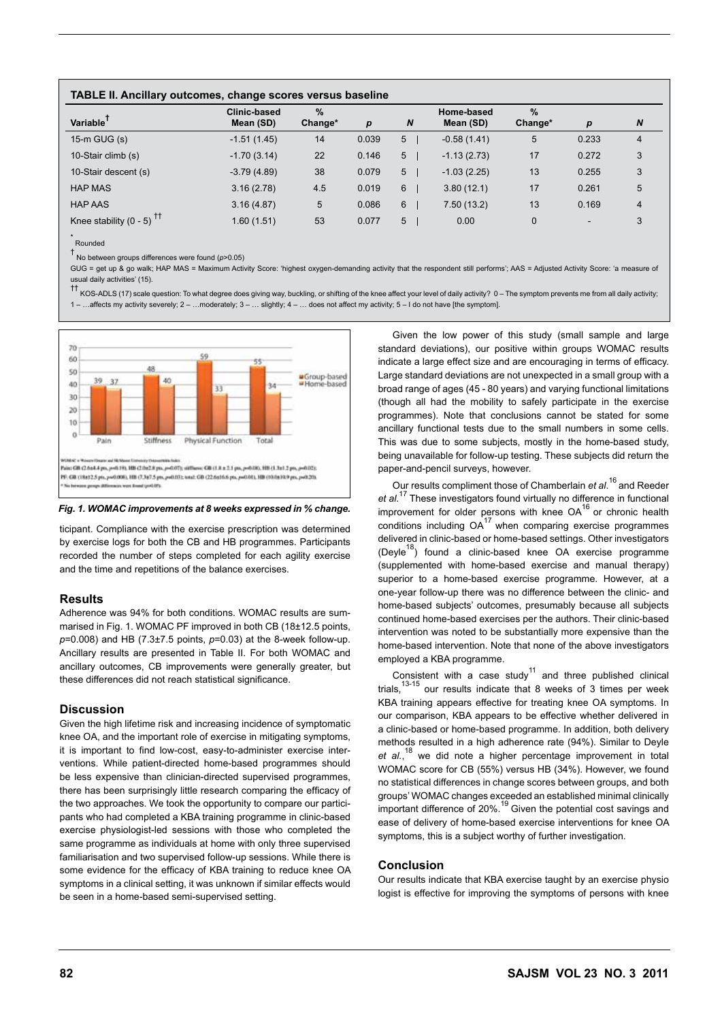| TABLE II. Ancillary outcomes, change scores versus baseline |  |  |
|-------------------------------------------------------------|--|--|
|-------------------------------------------------------------|--|--|

| Variable                               | <b>Clinic-based</b><br>Mean (SD) | $\%$<br>Change* | p     | $\boldsymbol{N}$ | Home-based<br>Mean (SD) | %<br>Change* | $\boldsymbol{p}$         | N              |
|----------------------------------------|----------------------------------|-----------------|-------|------------------|-------------------------|--------------|--------------------------|----------------|
| $15-m$ GUG $(s)$                       | $-1.51(1.45)$                    | 14              | 0.039 | 5                | $-0.58(1.41)$           | 5            | 0.233                    | $\overline{4}$ |
| 10-Stair climb (s)                     | $-1.70(3.14)$                    | 22              | 0.146 | 5                | $-1.13(2.73)$           | 17           | 0.272                    | 3              |
| 10-Stair descent (s)                   | $-3.79(4.89)$                    | 38              | 0.079 | 5                | $-1.03(2.25)$           | 13           | 0.255                    | 3              |
| <b>HAP MAS</b>                         | 3.16(2.78)                       | 4.5             | 0.019 | 6                | 3.80(12.1)              | 17           | 0.261                    | 5              |
| <b>HAP AAS</b>                         | 3.16(4.87)                       | 5               | 0.086 | 6                | 7.50(13.2)              | 13           | 0.169                    | $\overline{4}$ |
| Knee stability $(0 - 5)$ <sup>tt</sup> | 1.60(1.51)                       | 53              | 0.077 | 5                | 0.00                    | $\mathbf 0$  | $\overline{\phantom{0}}$ | 3              |

\* Rounded

† No between groups differences were found (*p*>0.05)

GUG = get up & go walk; HAP MAS = Maximum Activity Score: 'highest oxygen-demanding activity that the respondent still performs'; AAS = Adjusted Activity Score: 'a measure of usual daily activities' (15).

†† KOS-ADLS (17) scale question: To what degree does giving way, buckling, or shifting of the knee affect your level of daily activity? 0 – The symptom prevents me from all daily activity; 1 – …affects my activity severely; 2 – …moderately; 3 – … slightly; 4 – … does not affect my activity; 5 – I do not have [the symptom].



#### *Fig. 1. WOMAC improvements at 8 weeks expressed in % change.*

ticipant. Compliance with the exercise prescription was determined by exercise logs for both the CB and HB programmes. Participants recorded the number of steps completed for each agility exercise and the time and repetitions of the balance exercises.

# **Results**

Adherence was 94% for both conditions. WOMAC results are summarised in Fig. 1. WOMAC PF improved in both CB (18±12.5 points, *p*=0.008) and HB (7.3±7.5 points, *p*=0.03) at the 8-week follow-up. Ancillary results are presented in Table II. For both WOMAC and ancillary outcomes, CB improvements were generally greater, but these differences did not reach statistical significance.

# **Discussion**

Given the high lifetime risk and increasing incidence of symptomatic knee OA, and the important role of exercise in mitigating symptoms, it is important to find low-cost, easy-to-administer exercise interventions. While patient-directed home-based programmes should be less expensive than clinician-directed supervised programmes, there has been surprisingly little research comparing the efficacy of the two approaches. We took the opportunity to compare our participants who had completed a KBA training programme in clinic-based exercise physiologist-led sessions with those who completed the same programme as individuals at home with only three supervised familiarisation and two supervised follow-up sessions. While there is some evidence for the efficacy of KBA training to reduce knee OA symptoms in a clinical setting, it was unknown if similar effects would be seen in a home-based semi-supervised setting.

Given the low power of this study (small sample and large standard deviations), our positive within groups WOMAC results indicate a large effect size and are encouraging in terms of efficacy. Large standard deviations are not unexpected in a small group with a broad range of ages (45 - 80 years) and varying functional limitations (though all had the mobility to safely participate in the exercise programmes). Note that conclusions cannot be stated for some ancillary functional tests due to the small numbers in some cells. This was due to some subjects, mostly in the home-based study, being unavailable for follow-up testing. These subjects did return the paper-and-pencil surveys, however.

Our results compliment those of Chamberlain *et al*. 16 and Reeder *et al*. 17 These investigators found virtually no difference in functional improvement for older persons with knee  $OA^{16}$  or chronic health conditions including  $OA^{17}$  when comparing exercise programmes delivered in clinic-based or home-based settings. Other investigators (Deyle<sup>18</sup>) found a clinic-based knee OA exercise programme (supplemented with home-based exercise and manual therapy) superior to a home-based exercise programme. However, at a one-year follow-up there was no difference between the clinic- and home-based subjects' outcomes, presumably because all subjects continued home-based exercises per the authors. Their clinic-based intervention was noted to be substantially more expensive than the home-based intervention. Note that none of the above investigators employed a KBA programme.

Consistent with a case study<sup>11</sup> and three published clinical trials, $13-15$  our results indicate that 8 weeks of 3 times per week KBA training appears effective for treating knee OA symptoms. In our comparison, KBA appears to be effective whether delivered in a clinic-based or home-based programme. In addition, both delivery methods resulted in a high adherence rate (94%). Similar to Deyle et al.,<sup>18</sup> we did note a higher percentage improvement in total WOMAC score for CB (55%) versus HB (34%). However, we found no statistical differences in change scores between groups, and both groups' WOMAC changes exceeded an established minimal clinically important difference of 20%.19 Given the potential cost savings and ease of delivery of home-based exercise interventions for knee OA symptoms, this is a subject worthy of further investigation.

# **Conclusion**

Our results indicate that KBA exercise taught by an exercise physio logist is effective for improving the symptoms of persons with knee